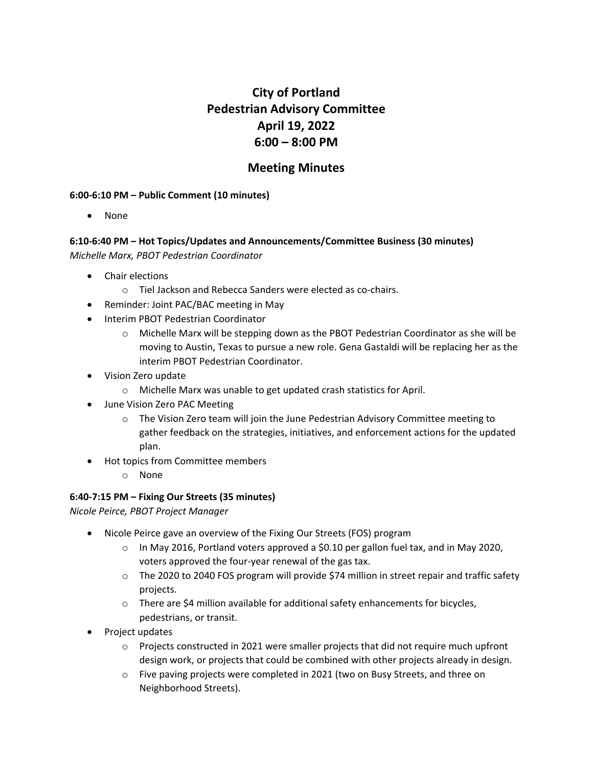# **City of Portland Pedestrian Advisory Committee April 19, 2022 6:00 – 8:00 PM**

# **Meeting Minutes**

#### **6:00-6:10 PM – Public Comment (10 minutes)**

• None

## **6:10-6:40 PM – Hot Topics/Updates and Announcements/Committee Business (30 minutes)** *Michelle Marx, PBOT Pedestrian Coordinator*

- Chair elections
	- o Tiel Jackson and Rebecca Sanders were elected as co-chairs.
- Reminder: Joint PAC/BAC meeting in May
- Interim PBOT Pedestrian Coordinator
	- $\circ$  Michelle Marx will be stepping down as the PBOT Pedestrian Coordinator as she will be moving to Austin, Texas to pursue a new role. Gena Gastaldi will be replacing her as the interim PBOT Pedestrian Coordinator.
- Vision Zero update
	- o Michelle Marx was unable to get updated crash statistics for April.
- June Vision Zero PAC Meeting
	- $\circ$  The Vision Zero team will join the June Pedestrian Advisory Committee meeting to gather feedback on the strategies, initiatives, and enforcement actions for the updated plan.
- Hot topics from Committee members
	- o None

#### **6:40-7:15 PM – Fixing Our Streets (35 minutes)**

*Nicole Peirce, PBOT Project Manager*

- Nicole Peirce gave an overview of the Fixing Our Streets (FOS) program
	- o In May 2016, Portland voters approved a \$0.10 per gallon fuel tax, and in May 2020, voters approved the four-year renewal of the gas tax.
	- o The 2020 to 2040 FOS program will provide \$74 million in street repair and traffic safety projects.
	- o There are \$4 million available for additional safety enhancements for bicycles, pedestrians, or transit.
- Project updates
	- $\circ$  Projects constructed in 2021 were smaller projects that did not require much upfront design work, or projects that could be combined with other projects already in design.
	- o Five paving projects were completed in 2021 (two on Busy Streets, and three on Neighborhood Streets).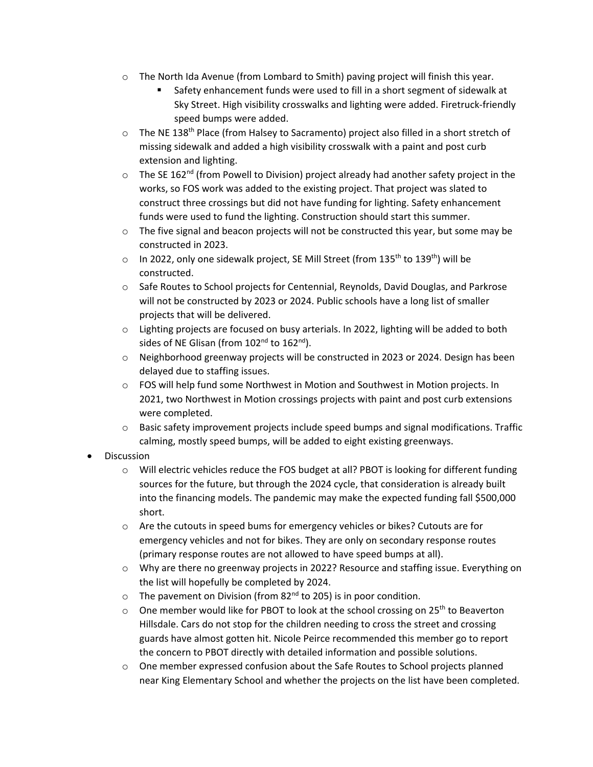- $\circ$  The North Ida Avenue (from Lombard to Smith) paving project will finish this year.
	- Safety enhancement funds were used to fill in a short segment of sidewalk at Sky Street. High visibility crosswalks and lighting were added. Firetruck-friendly speed bumps were added.
- o The NE 138th Place (from Halsey to Sacramento) project also filled in a short stretch of missing sidewalk and added a high visibility crosswalk with a paint and post curb extension and lighting.
- $\circ$  The SE 162<sup>nd</sup> (from Powell to Division) project already had another safety project in the works, so FOS work was added to the existing project. That project was slated to construct three crossings but did not have funding for lighting. Safety enhancement funds were used to fund the lighting. Construction should start this summer.
- $\circ$  The five signal and beacon projects will not be constructed this year, but some may be constructed in 2023.
- $\circ$  In 2022, only one sidewalk project, SE Mill Street (from 135<sup>th</sup> to 139<sup>th</sup>) will be constructed.
- o Safe Routes to School projects for Centennial, Reynolds, David Douglas, and Parkrose will not be constructed by 2023 or 2024. Public schools have a long list of smaller projects that will be delivered.
- o Lighting projects are focused on busy arterials. In 2022, lighting will be added to both sides of NE Glisan (from 102<sup>nd</sup> to 162<sup>nd</sup>).
- o Neighborhood greenway projects will be constructed in 2023 or 2024. Design has been delayed due to staffing issues.
- $\circ$  FOS will help fund some Northwest in Motion and Southwest in Motion projects. In 2021, two Northwest in Motion crossings projects with paint and post curb extensions were completed.
- $\circ$  Basic safety improvement projects include speed bumps and signal modifications. Traffic calming, mostly speed bumps, will be added to eight existing greenways.
- Discussion
	- $\circ$  Will electric vehicles reduce the FOS budget at all? PBOT is looking for different funding sources for the future, but through the 2024 cycle, that consideration is already built into the financing models. The pandemic may make the expected funding fall \$500,000 short.
	- o Are the cutouts in speed bums for emergency vehicles or bikes? Cutouts are for emergency vehicles and not for bikes. They are only on secondary response routes (primary response routes are not allowed to have speed bumps at all).
	- o Why are there no greenway projects in 2022? Resource and staffing issue. Everything on the list will hopefully be completed by 2024.
	- $\circ$  The pavement on Division (from 82<sup>nd</sup> to 205) is in poor condition.
	- $\circ$  One member would like for PBOT to look at the school crossing on 25<sup>th</sup> to Beaverton Hillsdale. Cars do not stop for the children needing to cross the street and crossing guards have almost gotten hit. Nicole Peirce recommended this member go to report the concern to PBOT directly with detailed information and possible solutions.
	- $\circ$  One member expressed confusion about the Safe Routes to School projects planned near King Elementary School and whether the projects on the list have been completed.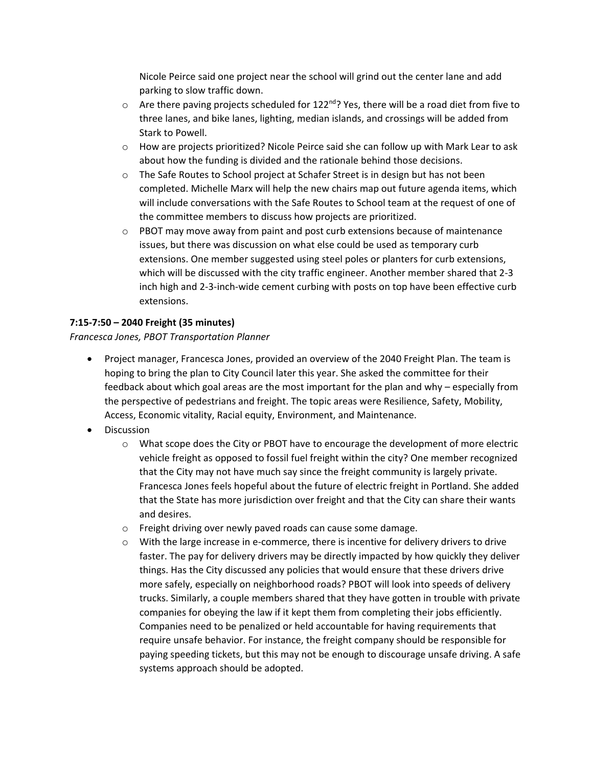Nicole Peirce said one project near the school will grind out the center lane and add parking to slow traffic down.

- $\circ$  Are there paving projects scheduled for 122<sup>nd</sup>? Yes, there will be a road diet from five to three lanes, and bike lanes, lighting, median islands, and crossings will be added from Stark to Powell.
- $\circ$  How are projects prioritized? Nicole Peirce said she can follow up with Mark Lear to ask about how the funding is divided and the rationale behind those decisions.
- o The Safe Routes to School project at Schafer Street is in design but has not been completed. Michelle Marx will help the new chairs map out future agenda items, which will include conversations with the Safe Routes to School team at the request of one of the committee members to discuss how projects are prioritized.
- $\circ$  PBOT may move away from paint and post curb extensions because of maintenance issues, but there was discussion on what else could be used as temporary curb extensions. One member suggested using steel poles or planters for curb extensions, which will be discussed with the city traffic engineer. Another member shared that 2-3 inch high and 2-3-inch-wide cement curbing with posts on top have been effective curb extensions.

### **7:15-7:50 – 2040 Freight (35 minutes)**

#### *Francesca Jones, PBOT Transportation Planner*

- Project manager, Francesca Jones, provided an overview of the 2040 Freight Plan. The team is hoping to bring the plan to City Council later this year. She asked the committee for their feedback about which goal areas are the most important for the plan and why – especially from the perspective of pedestrians and freight. The topic areas were Resilience, Safety, Mobility, Access, Economic vitality, Racial equity, Environment, and Maintenance.
- **Discussion** 
	- o What scope does the City or PBOT have to encourage the development of more electric vehicle freight as opposed to fossil fuel freight within the city? One member recognized that the City may not have much say since the freight community is largely private. Francesca Jones feels hopeful about the future of electric freight in Portland. She added that the State has more jurisdiction over freight and that the City can share their wants and desires.
	- o Freight driving over newly paved roads can cause some damage.
	- o With the large increase in e-commerce, there is incentive for delivery drivers to drive faster. The pay for delivery drivers may be directly impacted by how quickly they deliver things. Has the City discussed any policies that would ensure that these drivers drive more safely, especially on neighborhood roads? PBOT will look into speeds of delivery trucks. Similarly, a couple members shared that they have gotten in trouble with private companies for obeying the law if it kept them from completing their jobs efficiently. Companies need to be penalized or held accountable for having requirements that require unsafe behavior. For instance, the freight company should be responsible for paying speeding tickets, but this may not be enough to discourage unsafe driving. A safe systems approach should be adopted.